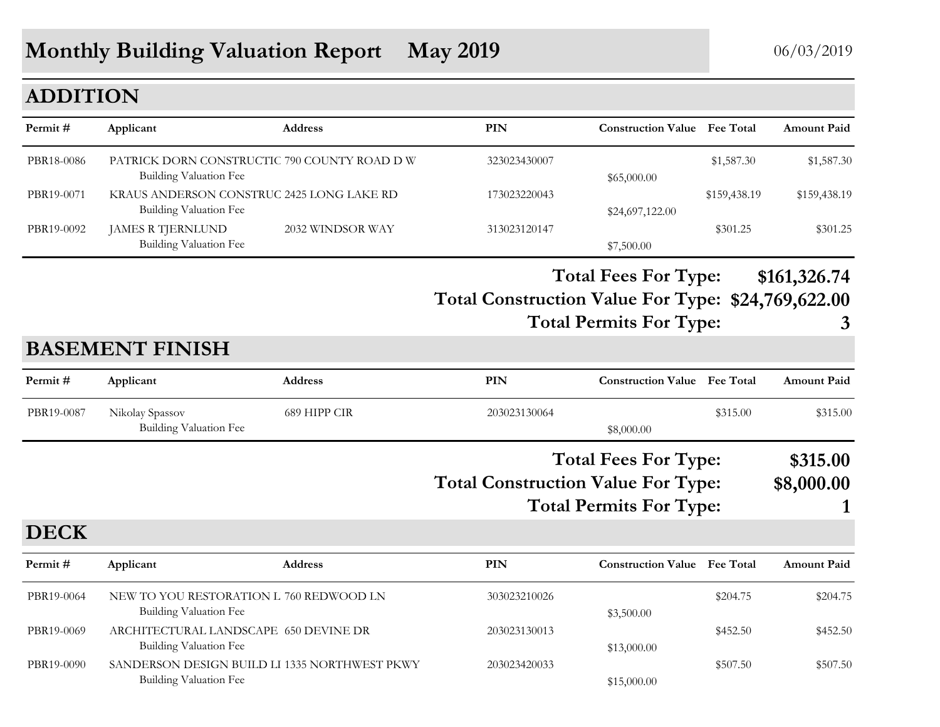# **Monthly Building Valuation Report May 2019** 06/03/2019

## **ADDITION**

| Permit#     | Applicant                                                                | <b>Address</b>   | <b>PIN</b>                                         | <b>Construction Value</b> Fee Total                           |                  | <b>Amount Paid</b>     |
|-------------|--------------------------------------------------------------------------|------------------|----------------------------------------------------|---------------------------------------------------------------|------------------|------------------------|
| PBR18-0086  | PATRICK DORN CONSTRUCTIC 790 COUNTY ROAD D W<br>Building Valuation Fee   |                  | 323023430007                                       | \$65,000.00                                                   | \$1,587.30       | \$1,587.30             |
| PBR19-0071  | KRAUS ANDERSON CONSTRUC 2425 LONG LAKE RD<br>Building Valuation Fee      |                  | 173023220043                                       | \$24,697,122.00                                               | \$159,438.19     | \$159,438.19           |
| PBR19-0092  | <b>JAMES R TJERNLUND</b><br><b>Building Valuation Fee</b>                | 2032 WINDSOR WAY | 313023120147                                       | \$7,500.00                                                    | \$301.25         | \$301.25               |
|             | <b>BASEMENT FINISH</b>                                                   |                  | Total Construction Value For Type: \$24,769,622.00 | <b>Total Fees For Type:</b><br><b>Total Permits For Type:</b> |                  | \$161,326.74<br>3      |
| Permit#     | Applicant                                                                | <b>Address</b>   | <b>PIN</b>                                         | <b>Construction Value</b>                                     | <b>Fee Total</b> | <b>Amount Paid</b>     |
| PBR19-0087  | Nikolay Spassov<br>Building Valuation Fee                                | 689 HIPP CIR     | 203023130064                                       | \$8,000.00                                                    | \$315.00         | \$315.00               |
|             |                                                                          |                  | <b>Total Construction Value For Type:</b>          | <b>Total Fees For Type:</b><br><b>Total Permits For Type:</b> |                  | \$315.00<br>\$8,000.00 |
| <b>DECK</b> |                                                                          |                  |                                                    |                                                               |                  |                        |
| Permit#     | Applicant                                                                | <b>Address</b>   | PIN                                                | <b>Construction Value Fee Total</b>                           |                  | <b>Amount Paid</b>     |
| PBR19-0064  | NEW TO YOU RESTORATION L 760 REDWOOD LN<br><b>Building Valuation Fee</b> |                  | 303023210026                                       | \$3,500.00                                                    | \$204.75         | \$204.75               |
| PBR19-0069  | ARCHITECTURAL LANDSCAPE 650 DEVINE DR                                    |                  | 203023130013                                       |                                                               | \$452.50         | \$452.50               |

Building Valuation Fee  $$13,000.00$ 

Building Valuation Fee  $$15,000.00$ 

PBR19-0090 SANDERSON DESIGN BUILD LI 1335 NORTHWEST PKWY 203023420033 \$507.50 \$507.50 \$507.50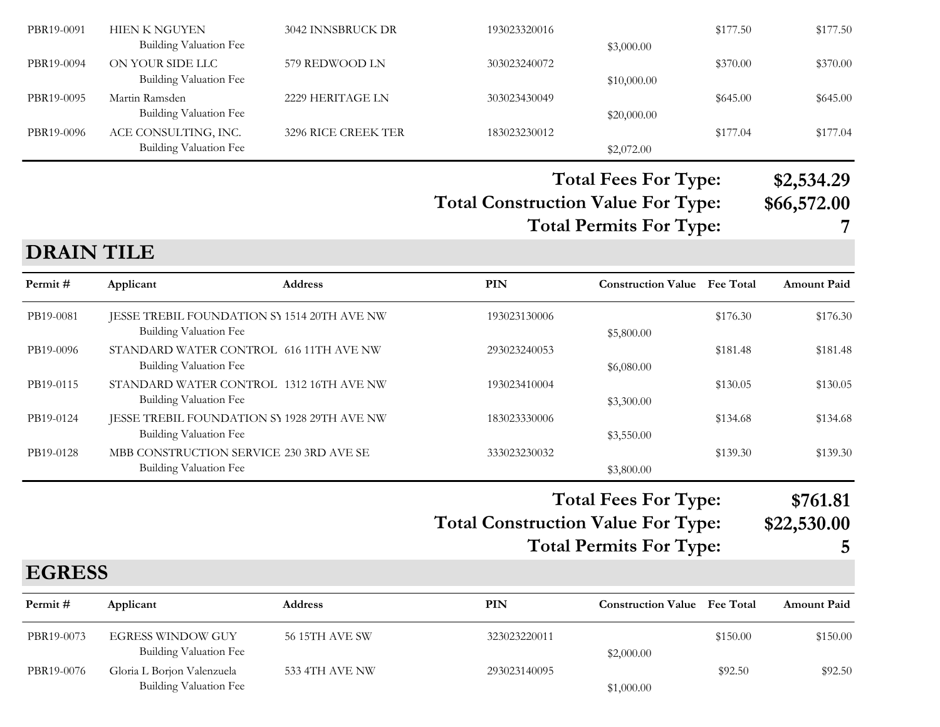| PBR19-0091        | <b>HIEN K NGUYEN</b><br><b>Building Valuation Fee</b>                        | 3042 INNSBRUCK DR                       | 193023320016                              | \$3,000.00                                                    | \$177.50 | \$177.50                       |
|-------------------|------------------------------------------------------------------------------|-----------------------------------------|-------------------------------------------|---------------------------------------------------------------|----------|--------------------------------|
| PBR19-0094        | ON YOUR SIDE LLC<br><b>Building Valuation Fee</b>                            | 579 REDWOOD LN                          | 303023240072                              | \$10,000.00                                                   | \$370.00 | \$370.00                       |
| PBR19-0095        | Martin Ramsden<br><b>Building Valuation Fee</b>                              | 2229 HERITAGE LN                        | 303023430049                              | \$20,000.00                                                   | \$645.00 | \$645.00                       |
| PBR19-0096        | ACE CONSULTING, INC.<br>Building Valuation Fee                               | 3296 RICE CREEK TER                     | 183023230012                              | \$2,072.00                                                    | \$177.04 | \$177.04                       |
|                   |                                                                              |                                         | <b>Total Construction Value For Type:</b> | <b>Total Fees For Type:</b><br><b>Total Permits For Type:</b> |          | \$2,534.29<br>\$66,572.00<br>7 |
| <b>DRAIN TILE</b> |                                                                              |                                         |                                           |                                                               |          |                                |
| Permit#           | Applicant                                                                    | <b>Address</b>                          | PIN                                       | <b>Construction Value Fee Total</b>                           |          | <b>Amount Paid</b>             |
| PB19-0081         | JESSE TREBIL FOUNDATION SY 1514 20TH AVE NW<br><b>Building Valuation Fee</b> |                                         | 193023130006                              | \$5,800.00                                                    | \$176.30 | \$176.30                       |
| PB19-0096         | STANDARD WATER CONTROL 616 11TH AVE NW<br>Building Valuation Fee             |                                         | 293023240053                              | \$6,080.00                                                    | \$181.48 | \$181.48                       |
| PB19-0115         | STANDARD WATER CONTROL 1312 16TH AVE NW<br>Building Valuation Fee            |                                         | 193023410004                              | \$3,300.00                                                    | \$130.05 | \$130.05                       |
| PB19-0124         | JESSE TREBIL FOUNDATION SY 1928 29TH AVE NW<br><b>Building Valuation Fee</b> |                                         | 183023330006                              | \$3,550.00                                                    | \$134.68 | \$134.68                       |
|                   |                                                                              | MBB CONSTRUCTION SERVICE 230 3RD AVE SE | 333023230032                              |                                                               | \$139.30 | \$139.30                       |

## **Total Construction Value For Type: \$22,530.00 Total Fees For Type: \$761.81**

**Total Permits For Type: 5**

## **EGRESS**

| Permit #   | Applicant                                            | <b>Address</b> | PIN          | <b>Construction Value</b> Fee Total |          | <b>Amount Paid</b> |
|------------|------------------------------------------------------|----------------|--------------|-------------------------------------|----------|--------------------|
| PBR19-0073 | <b>EGRESS WINDOW GUY</b><br>Building Valuation Fee   | 56 15TH AVE SW | 323023220011 | \$2,000.00                          | \$150.00 | \$150.00           |
| PBR19-0076 | Gloria L Borjon Valenzuela<br>Building Valuation Fee | 533 4TH AVE NW | 293023140095 | \$1,000.00                          | \$92.50  | \$92.50            |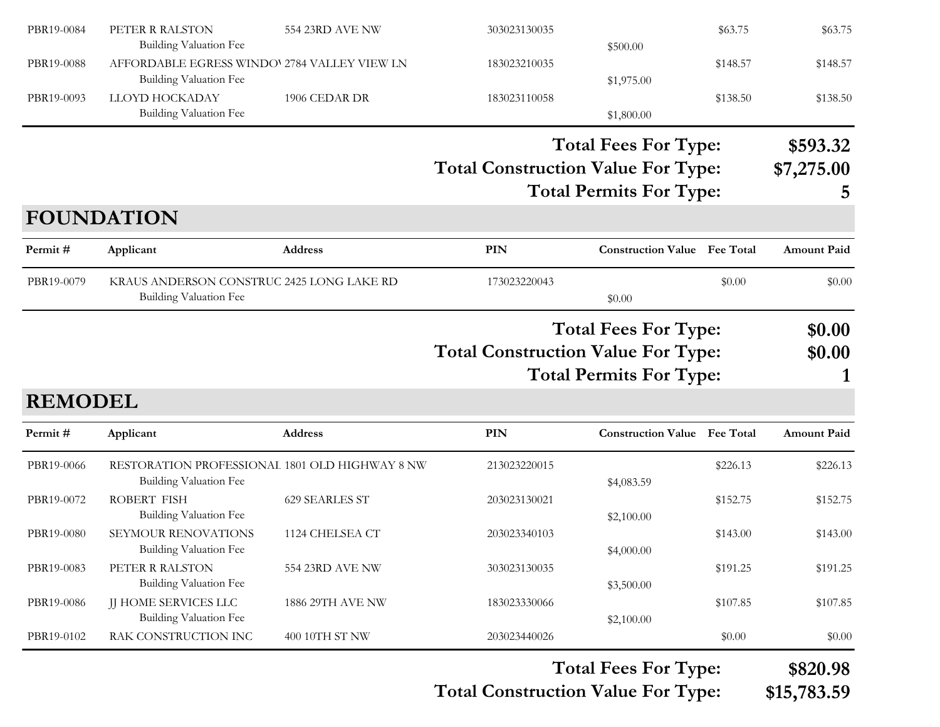| PBR19-0084                | PETER R RALSTON<br><b>Building Valuation Fee</b>                              | 554 23RD AVE NW  | 303023130035                                                                                               |                                                               | \$63.75          | \$63.75                     |
|---------------------------|-------------------------------------------------------------------------------|------------------|------------------------------------------------------------------------------------------------------------|---------------------------------------------------------------|------------------|-----------------------------|
| PBR19-0088                | AFFORDABLE EGRESS WINDO' 2784 VALLEY VIEW LN<br><b>Building Valuation Fee</b> |                  | 183023210035                                                                                               | \$500.00<br>\$1,975.00                                        | \$148.57         | \$148.57                    |
| PBR19-0093                | LLOYD HOCKADAY<br><b>Building Valuation Fee</b>                               | 1906 CEDAR DR    | 183023110058                                                                                               | \$1,800.00                                                    | \$138.50         | \$138.50                    |
|                           |                                                                               |                  | <b>Total Construction Value For Type:</b>                                                                  | <b>Total Fees For Type:</b><br><b>Total Permits For Type:</b> |                  | \$593.32<br>\$7,275.00<br>5 |
|                           | <b>FOUNDATION</b>                                                             |                  |                                                                                                            |                                                               |                  |                             |
| Permit#                   | Applicant                                                                     | Address          | PIN                                                                                                        | <b>Construction Value Fee Total</b>                           |                  | <b>Amount Paid</b>          |
| PBR19-0079                | KRAUS ANDERSON CONSTRUC 2425 LONG LAKE RD<br><b>Building Valuation Fee</b>    |                  | 173023220043                                                                                               | \$0.00                                                        | \$0.00           | \$0.00                      |
|                           |                                                                               |                  | <b>Total Fees For Type:</b><br><b>Total Construction Value For Type:</b><br><b>Total Permits For Type:</b> |                                                               | \$0.00<br>\$0.00 |                             |
| <b>REMODEL</b><br>Permit# | Applicant                                                                     | Address          | <b>PIN</b>                                                                                                 | <b>Construction Value</b> Fee Total                           |                  | <b>Amount Paid</b>          |
| PBR19-0066                | RESTORATION PROFESSIONAL 1801 OLD HIGHWAY 8 NW<br>Building Valuation Fee      |                  | 213023220015                                                                                               | \$4,083.59                                                    | \$226.13         | \$226.13                    |
| PBR19-0072                | ROBERT FISH<br><b>Building Valuation Fee</b>                                  | 629 SEARLES ST   | 203023130021                                                                                               | \$2,100.00                                                    | \$152.75         | \$152.75                    |
| PBR19-0080                | SEYMOUR RENOVATIONS<br><b>Building Valuation Fee</b>                          | 1124 CHELSEA CT  | 203023340103                                                                                               | \$4,000.00                                                    | \$143.00         | \$143.00                    |
| PBR19-0083                | PETER R RALSTON<br><b>Building Valuation Fee</b>                              | 554 23RD AVE NW  | 303023130035                                                                                               | \$3,500.00                                                    | \$191.25         | \$191.25                    |
| PBR19-0086                | <b>JJ HOME SERVICES LLC</b><br>Building Valuation Fee                         | 1886 29TH AVE NW | 183023330066                                                                                               | \$2,100.00                                                    | \$107.85         | \$107.85                    |
| PBR19-0102                | RAK CONSTRUCTION INC                                                          | 400 10TH ST NW   | 203023440026                                                                                               |                                                               | \$0.00           | \$0.00                      |
|                           |                                                                               |                  |                                                                                                            |                                                               |                  |                             |

**Total Construction Value For Type: \$15,783.59**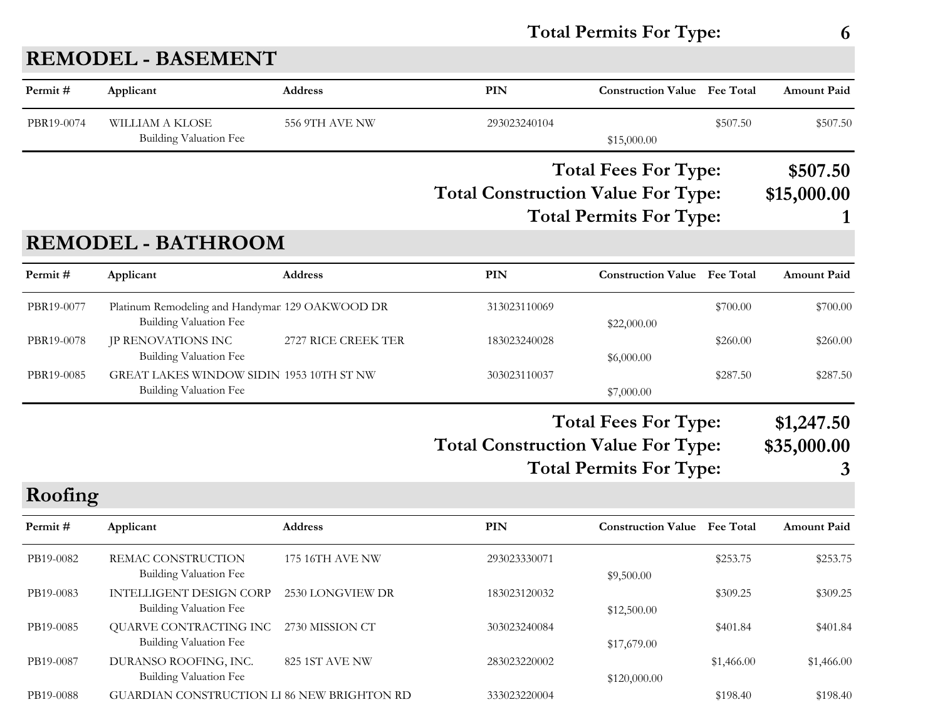## **Total Permits For Type: 6**

| Permit#    | Applicant                                                                        | <b>Address</b>      | PIN                                       | <b>Construction Value</b> Fee Total |            | <b>Amount Paid</b> |  |
|------------|----------------------------------------------------------------------------------|---------------------|-------------------------------------------|-------------------------------------|------------|--------------------|--|
| PBR19-0074 | <b>WILLIAM A KLOSE</b><br><b>Building Valuation Fee</b>                          | 556 9TH AVE NW      | 293023240104                              | \$15,000.00                         | \$507.50   | \$507.50           |  |
|            |                                                                                  |                     |                                           | <b>Total Fees For Type:</b>         |            | \$507.50           |  |
|            |                                                                                  |                     | <b>Total Construction Value For Type:</b> |                                     |            | \$15,000.00        |  |
|            |                                                                                  |                     |                                           | <b>Total Permits For Type:</b>      |            |                    |  |
|            | <b>REMODEL - BATHROOM</b>                                                        |                     |                                           |                                     |            |                    |  |
| Permit#    | Applicant                                                                        | Address             | <b>PIN</b>                                | <b>Construction Value</b>           | Fee Total  | <b>Amount Paid</b> |  |
| PBR19-0077 | Platinum Remodeling and Handymar 129 OAKWOOD DR<br><b>Building Valuation Fee</b> |                     | 313023110069                              | \$22,000.00                         | \$700.00   | \$700.00           |  |
| PBR19-0078 | JP RENOVATIONS INC<br><b>Building Valuation Fee</b>                              | 2727 RICE CREEK TER | 183023240028                              | \$6,000.00                          | \$260.00   | \$260.00           |  |
| PBR19-0085 | GREAT LAKES WINDOW SIDIN 1953 10TH ST NW<br><b>Building Valuation Fee</b>        |                     | 303023110037                              | \$7,000.00                          | \$287.50   | \$287.50           |  |
|            |                                                                                  |                     |                                           | <b>Total Fees For Type:</b>         |            | \$1,247.50         |  |
|            |                                                                                  |                     | <b>Total Construction Value For Type:</b> |                                     |            | \$35,000.00        |  |
|            |                                                                                  |                     |                                           | <b>Total Permits For Type:</b>      |            | 3                  |  |
| Roofing    |                                                                                  |                     |                                           |                                     |            |                    |  |
| Permit#    | Applicant                                                                        | Address             | PIN                                       | <b>Construction Value</b> Fee Total |            | <b>Amount Paid</b> |  |
| PB19-0082  | REMAC CONSTRUCTION<br><b>Building Valuation Fee</b>                              | 175 16TH AVE NW     | 293023330071                              | \$9,500.00                          | \$253.75   | \$253.75           |  |
| PB19-0083  | <b>INTELLIGENT DESIGN CORP</b><br><b>Building Valuation Fee</b>                  | 2530 LONGVIEW DR    | 183023120032                              | \$12,500.00                         | \$309.25   | \$309.25           |  |
| PB19-0085  | QUARVE CONTRACTING INC<br>Building Valuation Fee                                 | 2730 MISSION CT     | 303023240084                              | \$17,679.00                         | \$401.84   | \$401.84           |  |
| PB19-0087  | DURANSO ROOFING, INC.<br>Building Valuation Fee                                  | 825 1ST AVE NW      | 283023220002                              | \$120,000.00                        | \$1,466.00 | \$1,466.00         |  |
| PB19-0088  | GUARDIAN CONSTRUCTION LI 86 NEW BRIGHTON RD                                      |                     | 333023220004                              |                                     | \$198.40   | \$198.40           |  |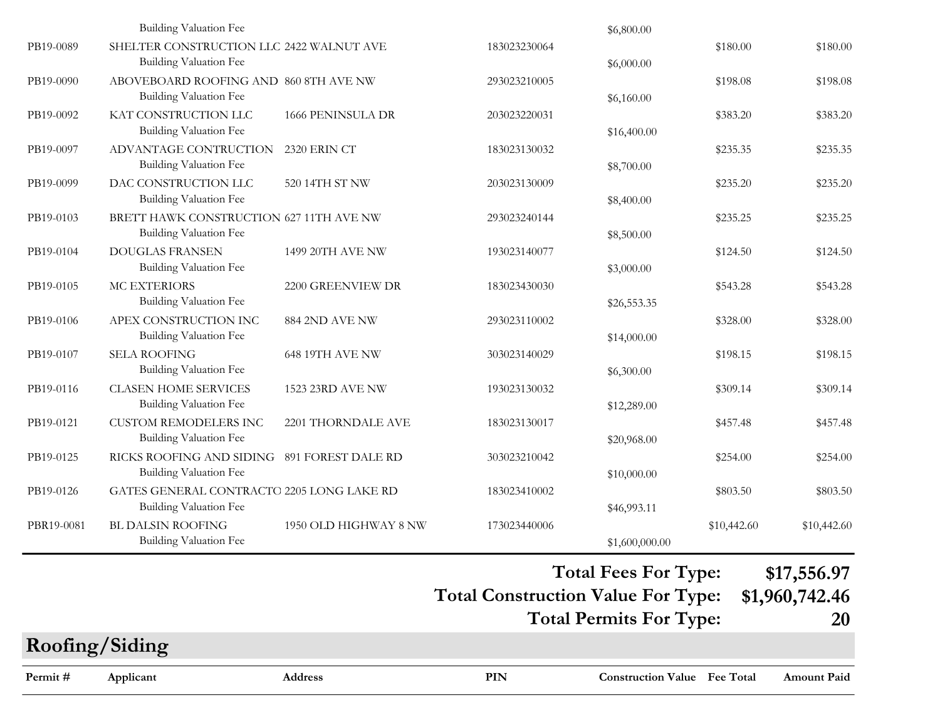|            | Building Valuation Fee                                                       |                          |              | \$6,800.00     |             |             |
|------------|------------------------------------------------------------------------------|--------------------------|--------------|----------------|-------------|-------------|
| PB19-0089  | SHELTER CONSTRUCTION LLC 2422 WALNUT AVE<br><b>Building Valuation Fee</b>    |                          | 183023230064 | \$6,000.00     | \$180.00    | \$180.00    |
| PB19-0090  | ABOVEBOARD ROOFING AND 860 8TH AVE NW<br><b>Building Valuation Fee</b>       |                          | 293023210005 | \$6,160.00     | \$198.08    | \$198.08    |
| PB19-0092  | KAT CONSTRUCTION LLC<br><b>Building Valuation Fee</b>                        | <b>1666 PENINSULA DR</b> | 203023220031 | \$16,400.00    | \$383.20    | \$383.20    |
| PB19-0097  | ADVANTAGE CONTRUCTION<br>Building Valuation Fee                              | 2320 ERIN CT             | 183023130032 | \$8,700.00     | \$235.35    | \$235.35    |
| PB19-0099  | DAC CONSTRUCTION LLC<br><b>Building Valuation Fee</b>                        | 520 14TH ST NW           | 203023130009 | \$8,400.00     | \$235.20    | \$235.20    |
| PB19-0103  | BRETT HAWK CONSTRUCTION 627 11TH AVE NW<br><b>Building Valuation Fee</b>     |                          | 293023240144 | \$8,500.00     | \$235.25    | \$235.25    |
| PB19-0104  | <b>DOUGLAS FRANSEN</b><br><b>Building Valuation Fee</b>                      | 1499 20TH AVE NW         | 193023140077 | \$3,000.00     | \$124.50    | \$124.50    |
| PB19-0105  | MC EXTERIORS<br><b>Building Valuation Fee</b>                                | 2200 GREENVIEW DR        | 183023430030 | \$26,553.35    | \$543.28    | \$543.28    |
| PB19-0106  | APEX CONSTRUCTION INC<br><b>Building Valuation Fee</b>                       | 884 2ND AVE NW           | 293023110002 | \$14,000.00    | \$328.00    | \$328.00    |
| PB19-0107  | <b>SELA ROOFING</b><br>Building Valuation Fee                                | <b>648 19TH AVE NW</b>   | 303023140029 | \$6,300.00     | \$198.15    | \$198.15    |
| PB19-0116  | <b>CLASEN HOME SERVICES</b><br><b>Building Valuation Fee</b>                 | 1523 23RD AVE NW         | 193023130032 | \$12,289.00    | \$309.14    | \$309.14    |
| PB19-0121  | <b>CUSTOM REMODELERS INC</b><br><b>Building Valuation Fee</b>                | 2201 THORNDALE AVE       | 183023130017 | \$20,968.00    | \$457.48    | \$457.48    |
| PB19-0125  | RICKS ROOFING AND SIDING 891 FOREST DALE RD<br><b>Building Valuation Fee</b> |                          | 303023210042 | \$10,000.00    | \$254.00    | \$254.00    |
| PB19-0126  | GATES GENERAL CONTRACTO 2205 LONG LAKE RD<br><b>Building Valuation Fee</b>   |                          | 183023410002 | \$46,993.11    | \$803.50    | \$803.50    |
| PBR19-0081 | <b>BL DALSIN ROOFING</b><br>Building Valuation Fee                           | 1950 OLD HIGHWAY 8 NW    | 173023440006 | \$1,600,000.00 | \$10,442.60 | \$10,442.60 |

#### **Total Fees For Type: \$17,556.97**

**Total Construction Value For Type: \$1,960,742.46**

**Total Permits For Type: 20**

# **PIN Construction Value Permit # Applicant Address Fee Total Amount PaidRoofing/Siding**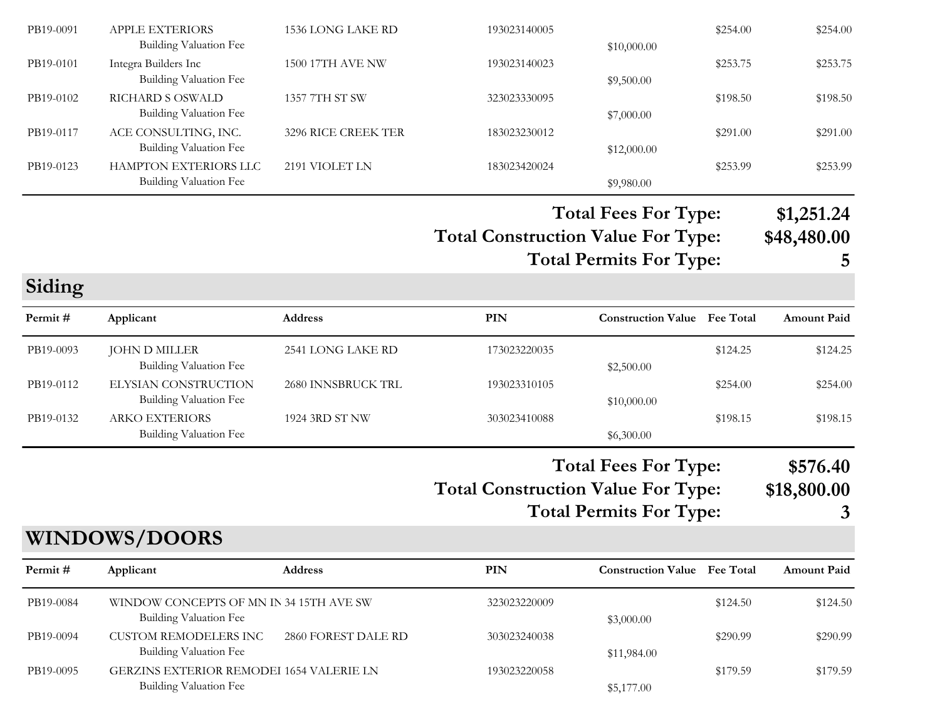| PB19-0091 | <b>APPLE EXTERIORS</b> | 1536 LONG LAKE RD   | 193023140005 |             | \$254.00 | \$254.00 |
|-----------|------------------------|---------------------|--------------|-------------|----------|----------|
|           | Building Valuation Fee |                     |              | \$10,000.00 |          |          |
| PB19-0101 | Integra Builders Inc   | 1500 17TH AVE NW    | 193023140023 |             | \$253.75 | \$253.75 |
|           | Building Valuation Fee |                     |              | \$9,500.00  |          |          |
| PB19-0102 | RICHARD S OSWALD       | 1357 7TH ST SW      | 323023330095 |             | \$198.50 | \$198.50 |
|           | Building Valuation Fee |                     |              | \$7,000.00  |          |          |
| PB19-0117 | ACE CONSULTING, INC.   | 3296 RICE CREEK TER | 183023230012 |             | \$291.00 | \$291.00 |
|           | Building Valuation Fee |                     |              | \$12,000.00 |          |          |
| PB19-0123 | HAMPTON EXTERIORS LLC  | 2191 VIOLET LN      | 183023420024 |             | \$253.99 | \$253.99 |
|           | Building Valuation Fee |                     |              | \$9,980.00  |          |          |

**Total Construction Value For Type: \$48,480.00 Total Fees For Type: \$1,251.24 Total Permits For Type: 5**

**Siding**

| Permit #  | Applicant                                       | <b>Address</b>     | PIN          | <b>Construction Value</b> Fee Total |          | <b>Amount Paid</b> |
|-----------|-------------------------------------------------|--------------------|--------------|-------------------------------------|----------|--------------------|
| PB19-0093 | JOHN D MILLER<br>Building Valuation Fee         | 2541 LONG LAKE RD  | 173023220035 | \$2,500.00                          | \$124.25 | \$124.25           |
| PB19-0112 | ELYSIAN CONSTRUCTION<br>Building Valuation Fee  | 2680 INNSBRUCK TRL | 193023310105 | \$10,000.00                         | \$254.00 | \$254.00           |
| PB19-0132 | <b>ARKO EXTERIORS</b><br>Building Valuation Fee | 1924 3RD ST NW     | 303023410088 | \$6,300.00                          | \$198.15 | \$198.15           |

# **Total Construction Value For Type: \$18,800.00 Total Fees For Type: \$576.40**

**Total Permits For Type: 3**

### **WINDOWS/DOORS**

| Permit#   | Applicant                                                                 | <b>Address</b>      | PIN          | <b>Construction Value</b> Fee Total |          | <b>Amount Paid</b> |
|-----------|---------------------------------------------------------------------------|---------------------|--------------|-------------------------------------|----------|--------------------|
| PB19-0084 | WINDOW CONCEPTS OF MN IN 34 15TH AVE SW<br>Building Valuation Fee         |                     | 323023220009 | \$3,000.00                          | \$124.50 | \$124.50           |
| PB19-0094 | <b>CUSTOM REMODELERS INC</b><br><b>Building Valuation Fee</b>             | 2860 FOREST DALE RD | 303023240038 | \$11,984.00                         | \$290.99 | \$290.99           |
| PB19-0095 | <b>GERZINS EXTERIOR REMODEI 1654 VALERIE LN</b><br>Building Valuation Fee |                     | 193023220058 | \$5,177.00                          | \$179.59 | \$179.59           |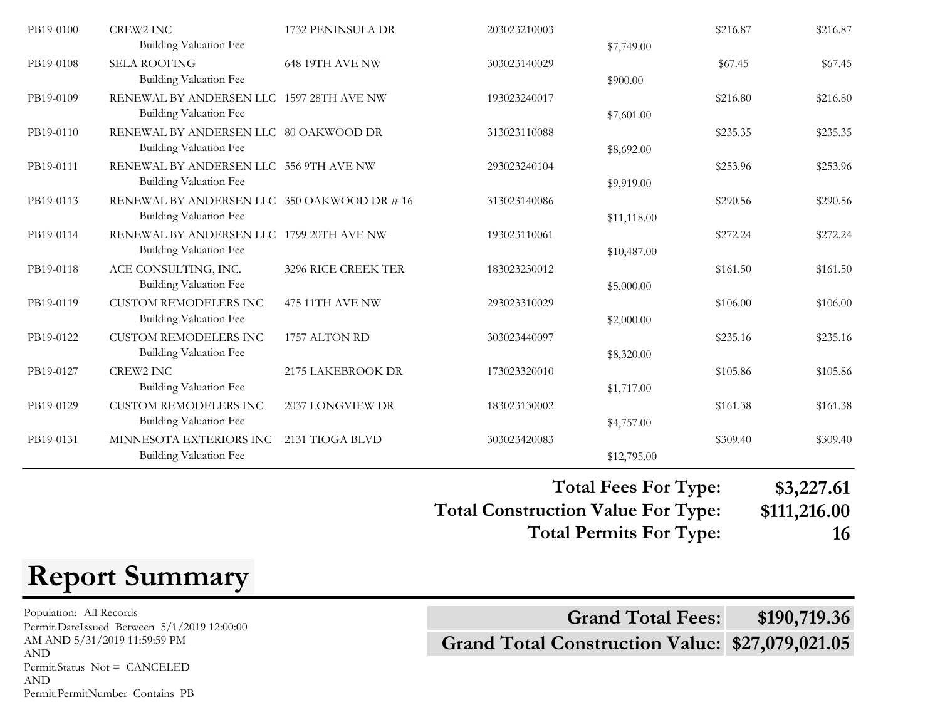| PB19-0100 | <b>CREW2 INC</b>                           | 1732 PENINSULA DR   | 203023210003 |             | \$216.87 | \$216.87 |
|-----------|--------------------------------------------|---------------------|--------------|-------------|----------|----------|
|           | <b>Building Valuation Fee</b>              |                     |              | \$7,749.00  |          |          |
| PB19-0108 | <b>SELA ROOFING</b>                        | 648 19TH AVE NW     | 303023140029 |             | \$67.45  | \$67.45  |
|           | <b>Building Valuation Fee</b>              |                     |              | \$900.00    |          |          |
| PB19-0109 | RENEWAL BY ANDERSEN LLC 1597 28TH AVE NW   |                     | 193023240017 |             | \$216.80 | \$216.80 |
|           | <b>Building Valuation Fee</b>              |                     |              | \$7,601.00  |          |          |
| PB19-0110 | RENEWAL BY ANDERSEN LLC 80 OAKWOOD DR      |                     | 313023110088 |             | \$235.35 | \$235.35 |
|           | <b>Building Valuation Fee</b>              |                     |              | \$8,692.00  |          |          |
| PB19-0111 | RENEWAL BY ANDERSEN LLC 556 9TH AVE NW     |                     | 293023240104 |             | \$253.96 | \$253.96 |
|           | <b>Building Valuation Fee</b>              |                     |              | \$9,919.00  |          |          |
| PB19-0113 | RENEWAL BY ANDERSEN LLC 350 OAKWOOD DR #16 |                     | 313023140086 |             | \$290.56 | \$290.56 |
|           | <b>Building Valuation Fee</b>              |                     |              | \$11,118.00 |          |          |
| PB19-0114 | RENEWAL BY ANDERSEN LLC 1799 20TH AVE NW   |                     |              |             |          |          |
|           | <b>Building Valuation Fee</b>              |                     | 193023110061 |             | \$272.24 | \$272.24 |
|           |                                            |                     |              | \$10,487.00 |          |          |
| PB19-0118 | ACE CONSULTING, INC.                       | 3296 RICE CREEK TER | 183023230012 |             | \$161.50 | \$161.50 |
|           | <b>Building Valuation Fee</b>              |                     |              | \$5,000.00  |          |          |
| PB19-0119 | <b>CUSTOM REMODELERS INC</b>               | 475 11TH AVE NW     | 293023310029 |             | \$106.00 | \$106.00 |
|           | <b>Building Valuation Fee</b>              |                     |              | \$2,000.00  |          |          |
| PB19-0122 | <b>CUSTOM REMODELERS INC</b>               | 1757 ALTON RD       | 303023440097 |             | \$235.16 | \$235.16 |
|           | <b>Building Valuation Fee</b>              |                     |              | \$8,320.00  |          |          |
| PB19-0127 | <b>CREW2 INC</b>                           | 2175 LAKEBROOK DR   | 173023320010 |             | \$105.86 | \$105.86 |
|           | <b>Building Valuation Fee</b>              |                     |              | \$1,717.00  |          |          |
| PB19-0129 | <b>CUSTOM REMODELERS INC</b>               | 2037 LONGVIEW DR    | 183023130002 |             | \$161.38 | \$161.38 |
|           | <b>Building Valuation Fee</b>              |                     |              | \$4,757.00  |          |          |
| PB19-0131 | MINNESOTA EXTERIORS INC                    | 2131 TIOGA BLVD     | 303023420083 |             | \$309.40 | \$309.40 |
|           | <b>Building Valuation Fee</b>              |                     |              | \$12,795.00 |          |          |
|           |                                            |                     |              |             |          |          |

**Total Construction Value For Type: \$111,216.00 Total Fees For Type: \$3,227.61 Total Permits For Type: 16**

# **Report Summary**

Population: All Records AM AND 5/31/2019 11:59:59 PM AND Permit.Status Not = CANCELED AND Permit.PermitNumber Contains PB

**Grand Total Construction Value: \$27,079,021.05** Population: All Records<br>
Permit.DateIssued Between 5/1/2019 12:00:00<br> **Grand Total Fees:** \$190,719.36